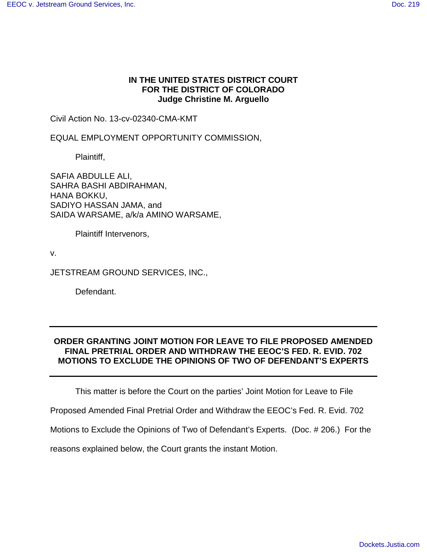# **IN THE UNITED STATES DISTRICT COURT FOR THE DISTRICT OF COLORADO Judge Christine M. Arguello**

Civil Action No. 13-cv-02340-CMA-KMT

EQUAL EMPLOYMENT OPPORTUNITY COMMISSION,

Plaintiff,

SAFIA ABDULLE ALI, SAHRA BASHI ABDIRAHMAN, HANA BOKKU, SADIYO HASSAN JAMA, and SAIDA WARSAME, a/k/a AMINO WARSAME,

Plaintiff Intervenors,

v.

JETSTREAM GROUND SERVICES, INC.,

Defendant.

# **ORDER GRANTING JOINT MOTION FOR LEAVE TO FILE PROPOSED AMENDED FINAL PRETRIAL ORDER AND WITHDRAW THE EEOC'S FED. R. EVID. 702 MOTIONS TO EXCLUDE THE OPINIONS OF TWO OF DEFENDANT'S EXPERTS**

This matter is before the Court on the parties' Joint Motion for Leave to File

Proposed Amended Final Pretrial Order and Withdraw the EEOC's Fed. R. Evid. 702

Motions to Exclude the Opinions of Two of Defendant's Experts. (Doc. # 206.) For the

reasons explained below, the Court grants the instant Motion.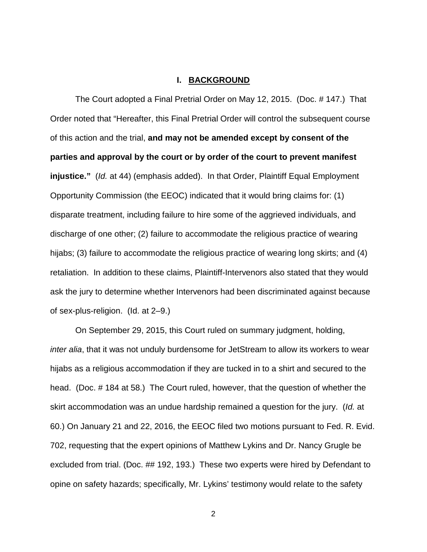### **I. BACKGROUND**

The Court adopted a Final Pretrial Order on May 12, 2015. (Doc. # 147.) That Order noted that "Hereafter, this Final Pretrial Order will control the subsequent course of this action and the trial, **and may not be amended except by consent of the parties and approval by the court or by order of the court to prevent manifest injustice."** (Id. at 44) (emphasis added). In that Order, Plaintiff Equal Employment Opportunity Commission (the EEOC) indicated that it would bring claims for: (1) disparate treatment, including failure to hire some of the aggrieved individuals, and discharge of one other; (2) failure to accommodate the religious practice of wearing hijabs; (3) failure to accommodate the religious practice of wearing long skirts; and (4) retaliation. In addition to these claims, Plaintiff-Intervenors also stated that they would ask the jury to determine whether Intervenors had been discriminated against because of sex-plus-religion. (Id. at 2–9.)

On September 29, 2015, this Court ruled on summary judgment, holding, inter alia, that it was not unduly burdensome for JetStream to allow its workers to wear hijabs as a religious accommodation if they are tucked in to a shirt and secured to the head. (Doc. # 184 at 58.) The Court ruled, however, that the question of whether the skirt accommodation was an undue hardship remained a question for the jury. (Id. at 60.) On January 21 and 22, 2016, the EEOC filed two motions pursuant to Fed. R. Evid. 702, requesting that the expert opinions of Matthew Lykins and Dr. Nancy Grugle be excluded from trial. (Doc. ## 192, 193.) These two experts were hired by Defendant to opine on safety hazards; specifically, Mr. Lykins' testimony would relate to the safety

2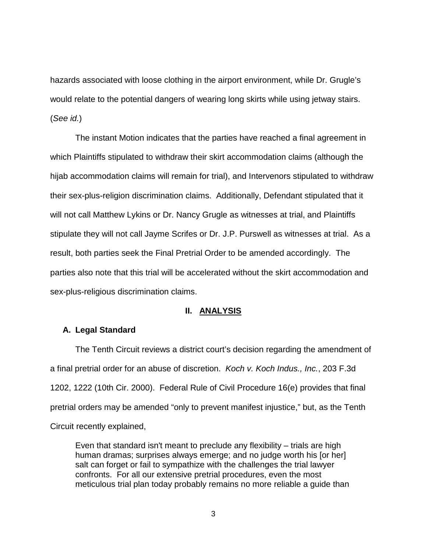hazards associated with loose clothing in the airport environment, while Dr. Grugle's would relate to the potential dangers of wearing long skirts while using jetway stairs. (See id.)

 The instant Motion indicates that the parties have reached a final agreement in which Plaintiffs stipulated to withdraw their skirt accommodation claims (although the hijab accommodation claims will remain for trial), and Intervenors stipulated to withdraw their sex-plus-religion discrimination claims. Additionally, Defendant stipulated that it will not call Matthew Lykins or Dr. Nancy Grugle as witnesses at trial, and Plaintiffs stipulate they will not call Jayme Scrifes or Dr. J.P. Purswell as witnesses at trial. As a result, both parties seek the Final Pretrial Order to be amended accordingly. The parties also note that this trial will be accelerated without the skirt accommodation and sex-plus-religious discrimination claims.

#### **II. ANALYSIS**

## **A. Legal Standard**

The Tenth Circuit reviews a district court's decision regarding the amendment of a final pretrial order for an abuse of discretion. Koch v. Koch Indus., Inc., 203 F.3d 1202, 1222 (10th Cir. 2000). Federal Rule of Civil Procedure 16(e) provides that final pretrial orders may be amended "only to prevent manifest injustice," but, as the Tenth Circuit recently explained,

Even that standard isn't meant to preclude any flexibility – trials are high human dramas; surprises always emerge; and no judge worth his [or her] salt can forget or fail to sympathize with the challenges the trial lawyer confronts. For all our extensive pretrial procedures, even the most meticulous trial plan today probably remains no more reliable a guide than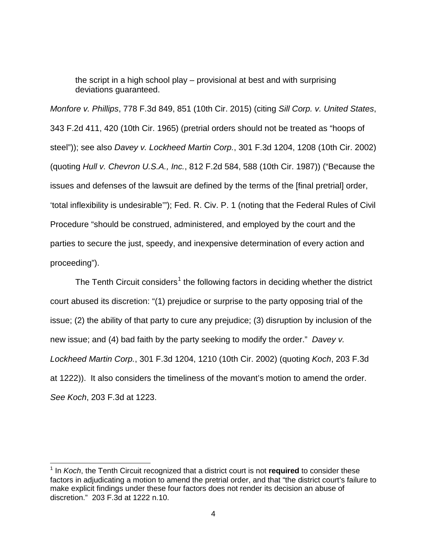the script in a high school play – provisional at best and with surprising deviations guaranteed.

Monfore v. Phillips, 778 F.3d 849, 851 (10th Cir. 2015) (citing Sill Corp. v. United States, 343 F.2d 411, 420 (10th Cir. 1965) (pretrial orders should not be treated as "hoops of steel")); see also Davey v. Lockheed Martin Corp., 301 F.3d 1204, 1208 (10th Cir. 2002) (quoting Hull v. Chevron U.S.A., Inc., 812 F.2d 584, 588 (10th Cir. 1987)) ("Because the issues and defenses of the lawsuit are defined by the terms of the [final pretrial] order, 'total inflexibility is undesirable'"); Fed. R. Civ. P. 1 (noting that the Federal Rules of Civil Procedure "should be construed, administered, and employed by the court and the parties to secure the just, speedy, and inexpensive determination of every action and proceeding").

The Tenth Circuit considers<sup>[1](#page-3-0)</sup> the following factors in deciding whether the district court abused its discretion: "(1) prejudice or surprise to the party opposing trial of the issue; (2) the ability of that party to cure any prejudice; (3) disruption by inclusion of the new issue; and (4) bad faith by the party seeking to modify the order." Davey v. Lockheed Martin Corp., 301 F.3d 1204, 1210 (10th Cir. 2002) (quoting Koch, 203 F.3d at 1222)). It also considers the timeliness of the movant's motion to amend the order. See Koch, 203 F.3d at 1223.

 $\overline{a}$ 

<span id="page-3-0"></span><sup>&</sup>lt;sup>1</sup> In Koch, the Tenth Circuit recognized that a district court is not required to consider these factors in adjudicating a motion to amend the pretrial order, and that "the district court's failure to make explicit findings under these four factors does not render its decision an abuse of discretion." 203 F.3d at 1222 n.10.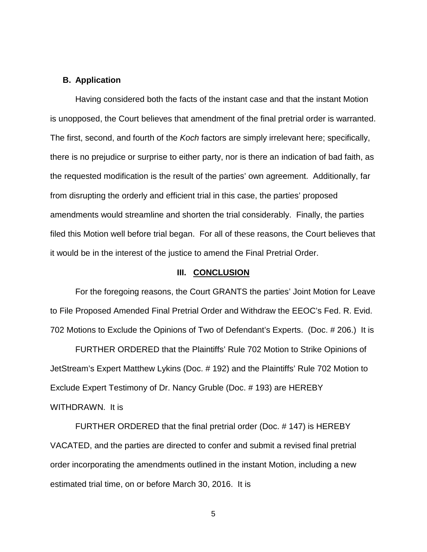### **B. Application**

Having considered both the facts of the instant case and that the instant Motion is unopposed, the Court believes that amendment of the final pretrial order is warranted. The first, second, and fourth of the Koch factors are simply irrelevant here; specifically, there is no prejudice or surprise to either party, nor is there an indication of bad faith, as the requested modification is the result of the parties' own agreement. Additionally, far from disrupting the orderly and efficient trial in this case, the parties' proposed amendments would streamline and shorten the trial considerably. Finally, the parties filed this Motion well before trial began. For all of these reasons, the Court believes that it would be in the interest of the justice to amend the Final Pretrial Order.

#### **III. CONCLUSION**

For the foregoing reasons, the Court GRANTS the parties' Joint Motion for Leave to File Proposed Amended Final Pretrial Order and Withdraw the EEOC's Fed. R. Evid. 702 Motions to Exclude the Opinions of Two of Defendant's Experts. (Doc. # 206.) It is

FURTHER ORDERED that the Plaintiffs' Rule 702 Motion to Strike Opinions of JetStream's Expert Matthew Lykins (Doc. # 192) and the Plaintiffs' Rule 702 Motion to Exclude Expert Testimony of Dr. Nancy Gruble (Doc. # 193) are HEREBY WITHDRAWN. It is

FURTHER ORDERED that the final pretrial order (Doc. # 147) is HEREBY VACATED, and the parties are directed to confer and submit a revised final pretrial order incorporating the amendments outlined in the instant Motion, including a new estimated trial time, on or before March 30, 2016. It is

5